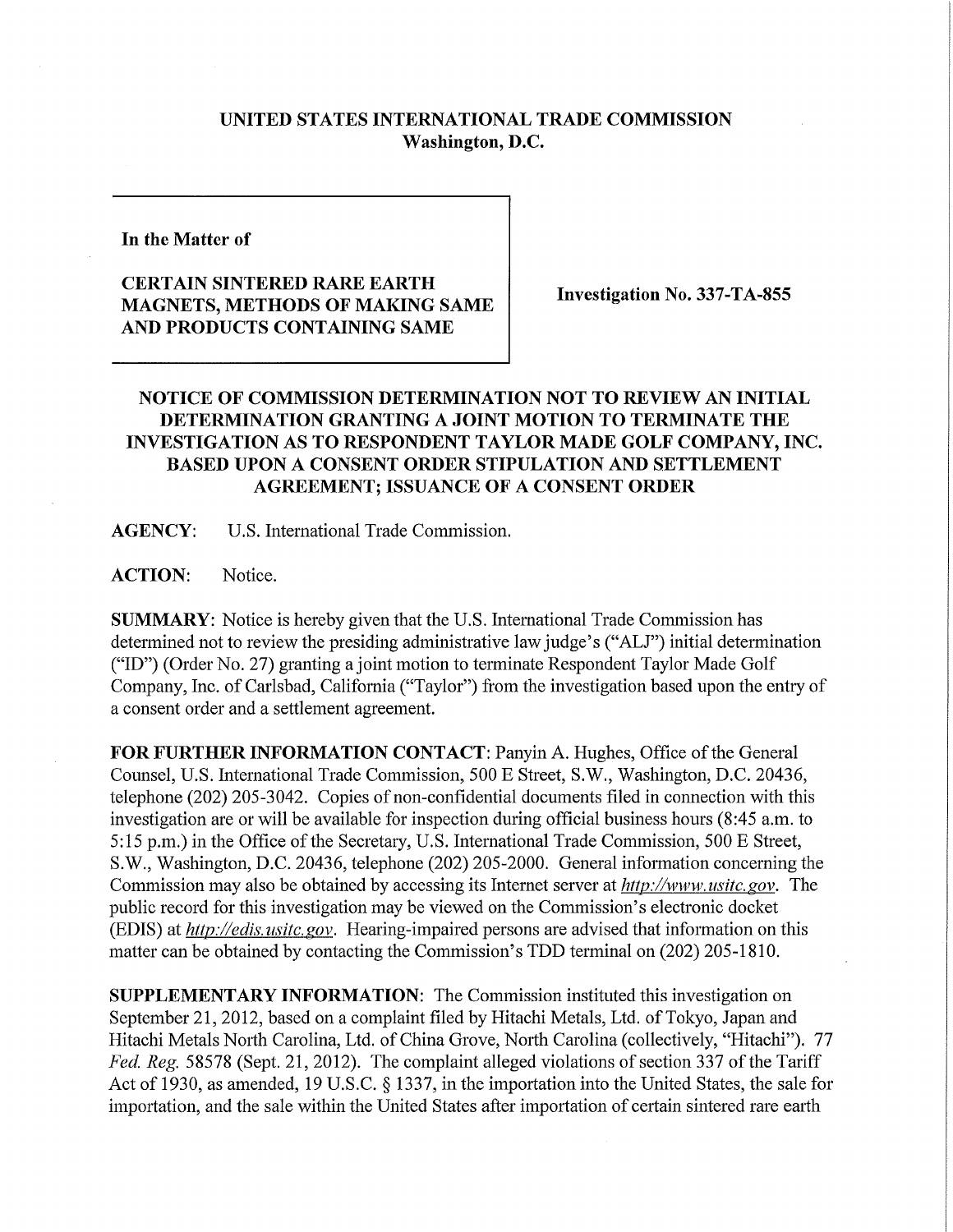## **UNITED STATES INTERNATIONAL TRADE COMMISSION Washington, D.C.**

**In the Matter of** 

## **CERTAIN SINTERED RARE EARTH MAGNETS, METHODS OF MAKING SAME AND PRODUCTS CONTAINING SAME**

**Investigation No. 337-TA-855** 

## **NOTICE OF COMMISSION DETERMINATION NOT TO REVIEW AN INITIAL DETERMINATION GRANTING A JOINT MOTION TO TERMINATE THE INVESTIGATION AS TO RESPONDENT TAYLOR MADE GOLF COMPANY, INC. BASED UPON A CONSENT ORDER STIPULATION AND SETTLEMENT AGREEMENT; ISSUANCE OF A CONSENT ORDER**

**AGENCY:** U.S. International Trade Commission.

**ACTION:** Notice.

**SUMMARY:** Notice is hereby given that the U.S. International Trade Commission has determined not to review the presiding administrative law judge's ("ALJ") initial determination ("ID") (Order No. 27) granting a joint motion to terminate Respondent Taylor Made Golf Company, Inc. of Carlsbad, California ("Taylor") from the investigation based upon the entry of a consent order and a settlement agreement.

**FOR FURTHER INFORMATION CONTACT: Panyin A. Hughes, Office of the General** Counsel, U.S. International Trade Commission, 500 E Street, S.W., Washington, D.C. 20436, telephone (202) 205-3042. Copies of non-confidential documents filed in connection with this investigation are or will be available for inspection during official business hours (8:45 a.m. to 5:15 p.m.) in the Office of the Secretary, U.S. International Trade Commission, 500 E Street, S.W., Washington, D.C. 20436, telephone (202) 205-2000. General information concerning the Commission may also be obtained by accessing its Internet server at *http://www. usitc. gov.* The public record for this investigation may be viewed on the Commission's electronic docket (EDIS) at *http://edis. usitc. gov.* Hearing-impaired persons are advised that information on this matter can be obtained by contacting the Commission's TDD terminal on (202) 205-1810.

**SUPPLEMENTARY INFORMATION:** The Commission instituted this investigation on September 21, 2012, based on a complaint filed by Hitachi Metals, Ltd. of Tokyo, Japan and Hitachi Metals North Carolina, Ltd. of China Grove, North Carolina (collectively, "Hitachi"). 77 *Fed. Reg.* 58578 (Sept. 21, 2012). The complaint alleged violations of section 337 of the Tariff Act of 1930, as amended, 19 U.S.C. § 1337, in the importation into the United States, the sale for importation, and the sale within the United States after importation of certain sintered rare earth